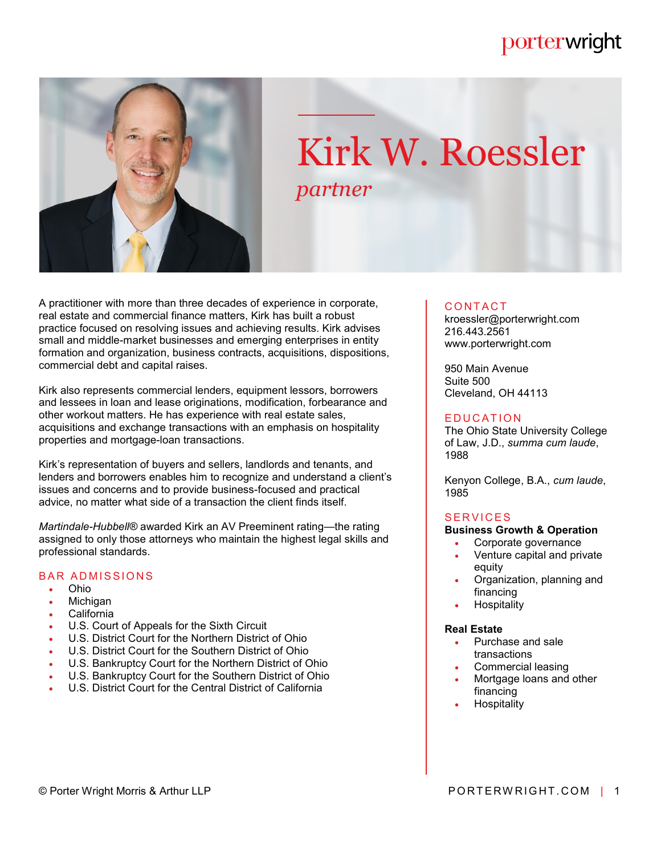# porterwright



# Kirk W. Roessler *partner*

A practitioner with more than three decades of experience in corporate, real estate and commercial finance matters, Kirk has built a robust practice focused on resolving issues and achieving results. Kirk advises small and middle-market businesses and emerging enterprises in entity formation and organization, business contracts, acquisitions, dispositions, commercial debt and capital raises.

Kirk also represents commercial lenders, equipment lessors, borrowers and lessees in loan and lease originations, modification, forbearance and other workout matters. He has experience with real estate sales, acquisitions and exchange transactions with an emphasis on hospitality properties and mortgage-loan transactions.

Kirk's representation of buyers and sellers, landlords and tenants, and lenders and borrowers enables him to recognize and understand a client's issues and concerns and to provide business-focused and practical advice, no matter what side of a transaction the client finds itself.

*Martindale-Hubbell®* awarded Kirk an AV Preeminent rating—the rating assigned to only those attorneys who maintain the highest legal skills and professional standards.

# **BAR ADMISSIONS**

- Ohio
- Michigan
- California
- U.S. Court of Appeals for the Sixth Circuit
- U.S. District Court for the Northern District of Ohio
- U.S. District Court for the Southern District of Ohio
- U.S. Bankruptcy Court for the Northern District of Ohio
- U.S. Bankruptcy Court for the Southern District of Ohio
- U.S. District Court for the Central District of California

## CONTACT.

kroessler@porterwright.com 216.443.2561 www.porterwright.com

950 Main Avenue Suite 500 Cleveland, OH 44113

## **E DUCATION**

The Ohio State University College of Law, J.D., *summa cum laude*, 1988

Kenyon College, B.A., *cum laude*, 1985

## **SERVICES**

#### **Business Growth & Operation**

- Corporate governance
- Venture capital and private equity
- Organization, planning and financing
- **Hospitality**

#### **Real Estate**

- Purchase and sale transactions
- Commercial leasing
- Mortgage loans and other financing
- **Hospitality**